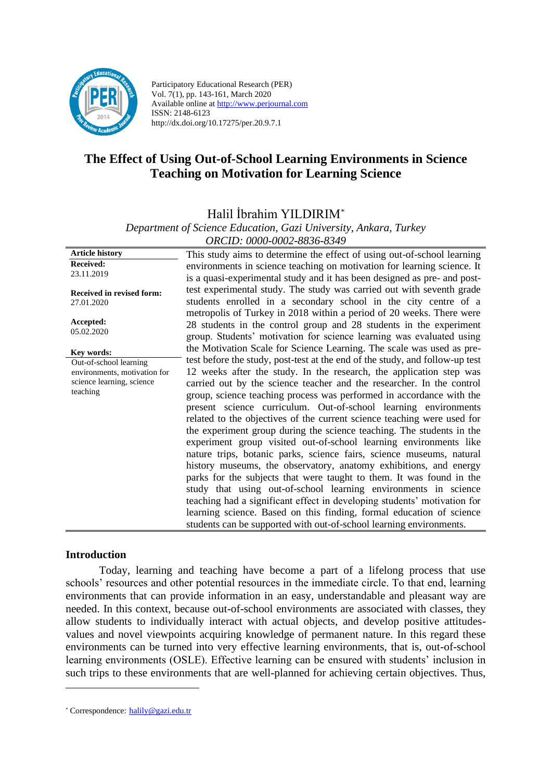

Participatory Educational Research (PER) Vol. 7(1), pp. 143-161, March 2020 Available online at http://www.perjournal.com ISSN: 2148-6123 http://dx.doi.org/10.17275/per.20.9.7.1

# **The Effect of Using Out-of-School Learning Environments in Science Teaching on Motivation for Learning Science**

Halil İbrahim YILDIRIM*\**

*Department of Science Education, Gazi University, Ankara, Turkey* 

*ORCID: 0000-0002-8836-8349*

**Article history Received:**  23.11.2019 **Received in revised form:**  27.01.2020 **Accepted:** 05.02.2020 This study aims to determine the effect of using out-of-school learning environments in science teaching on motivation for learning science. It is a quasi-experimental study and it has been designed as pre- and posttest experimental study. The study was carried out with seventh grade students enrolled in a secondary school in the city centre of a metropolis of Turkey in 2018 within a period of 20 weeks. There were 28 students in the control group and 28 students in the experiment group. Students' motivation for science learning was evaluated using the Motivation Scale for Science Learning. The scale was used as pretest before the study, post-test at the end of the study, and follow-up test 12 weeks after the study. In the research, the application step was carried out by the science teacher and the researcher. In the control group, science teaching process was performed in accordance with the present science curriculum. Out-of-school learning environments related to the objectives of the current science teaching were used for the experiment group during the science teaching. The students in the experiment group visited out-of-school learning environments like nature trips, botanic parks, science fairs, science museums, natural history museums, the observatory, anatomy exhibitions, and energy parks for the subjects that were taught to them. It was found in the study that using out-of-school learning environments in science teaching had a significant effect in developing students' motivation for learning science. Based on this finding, formal education of science students can be supported with out-of-school learning environments. **Key words:** Out-of-school learning environments, motivation for science learning, science teaching

#### **Introduction**

Today, learning and teaching have become a part of a lifelong process that use schools' resources and other potential resources in the immediate circle. To that end, learning environments that can provide information in an easy, understandable and pleasant way are needed. In this context, because out-of-school environments are associated with classes, they allow students to individually interact with actual objects, and develop positive attitudesvalues and novel viewpoints acquiring knowledge of permanent nature. In this regard these environments can be turned into very effective learning environments, that is, out-of-school learning environments (OSLE). Effective learning can be ensured with students' inclusion in such trips to these environments that are well-planned for achieving certain objectives. Thus,

<sup>\*</sup> Correspondence: [halily@gazi.edu.tr](mailto:halily@gazi.edu.tr)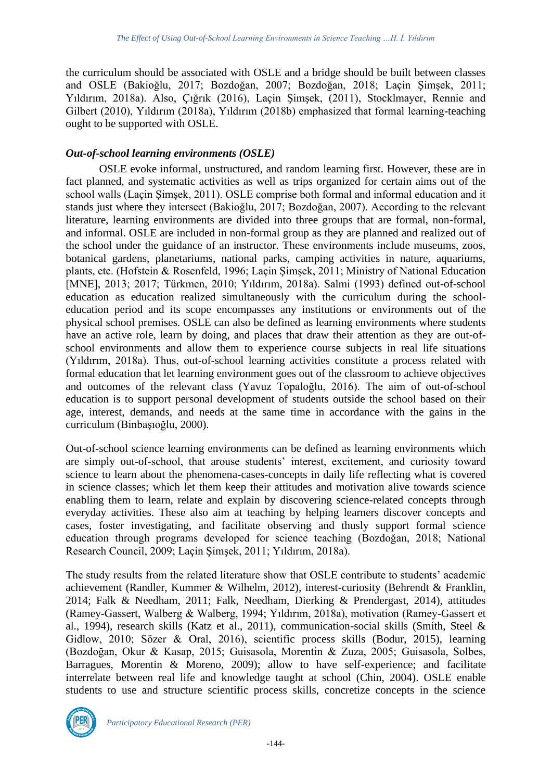the curriculum should be associated with OSLE and a bridge should be built between classes and OSLE (Bakioğlu, 2017; Bozdoğan, 2007; Bozdoğan, 2018; Laçin Şimşek, 2011; Yıldırım, 2018a). Also, Çığrık (2016), Laçin Şimşek, (2011), Stocklmayer, Rennie and Gilbert (2010), Yıldırım (2018a), Yıldırım (2018b) emphasized that formal learning-teaching ought to be supported with OSLE.

# *Out-of-school learning environments (OSLE)*

OSLE evoke informal, unstructured, and random learning first. However, these are in fact planned, and systematic activities as well as trips organized for certain aims out of the school walls (Laçin Şimşek, 2011). OSLE comprise both formal and informal education and it stands just where they intersect (Bakioğlu, 2017; Bozdoğan, 2007). According to the relevant literature, learning environments are divided into three groups that are formal, non-formal, and informal. OSLE are included in non-formal group as they are planned and realized out of the school under the guidance of an instructor. These environments include museums, zoos, botanical gardens, planetariums, national parks, camping activities in nature, aquariums, plants, etc. (Hofstein & Rosenfeld, 1996; Laçin Şimşek, 2011; Ministry of National Education [MNE], 2013; 2017; Türkmen, 2010; Yıldırım, 2018a). Salmi (1993) defined out-of-school education as education realized simultaneously with the curriculum during the schooleducation period and its scope encompasses any institutions or environments out of the physical school premises. OSLE can also be defined as learning environments where students have an active role, learn by doing, and places that draw their attention as they are out-ofschool environments and allow them to experience course subjects in real life situations (Yıldırım, 2018a). Thus, out-of-school learning activities constitute a process related with formal education that let learning environment goes out of the classroom to achieve objectives and outcomes of the relevant class (Yavuz Topaloğlu, 2016). The aim of out-of-school education is to support personal development of students outside the school based on their age, interest, demands, and needs at the same time in accordance with the gains in the curriculum (Binbaşıoğlu, 2000).

Out-of-school science learning environments can be defined as learning environments which are simply out-of-school, that arouse students' interest, excitement, and curiosity toward science to learn about the phenomena-cases-concepts in daily life reflecting what is covered in science classes; which let them keep their attitudes and motivation alive towards science enabling them to learn, relate and explain by discovering science-related concepts through everyday activities. These also aim at teaching by helping learners discover concepts and cases, foster investigating, and facilitate observing and thusly support formal science education through programs developed for science teaching (Bozdoğan, 2018; National Research Council, 2009; Laçin Şimşek, 2011; Yıldırım, 2018a).

The study results from the related literature show that OSLE contribute to students' academic achievement (Randler, Kummer & Wilhelm, 2012), interest-curiosity (Behrendt & Franklin, 2014; Falk & Needham, 2011; Falk, Needham, Dierking & Prendergast, 2014), attitudes (Ramey-Gassert, Walberg & Walberg, 1994; Yıldırım, 2018a), motivation (Ramey-Gassert et al., 1994), research skills (Katz et al., 2011), communication-social skills (Smith, Steel & Gidlow, 2010; Sözer & Oral, 2016), scientific process skills (Bodur, 2015), learning (Bozdoğan, Okur & Kasap, 2015; Guisasola, Morentin & Zuza, 2005; Guisasola, Solbes, Barragues, Morentin & Moreno, 2009); allow to have self-experience; and facilitate interrelate between real life and knowledge taught at school (Chin, 2004). OSLE enable students to use and structure scientific process skills, concretize concepts in the science

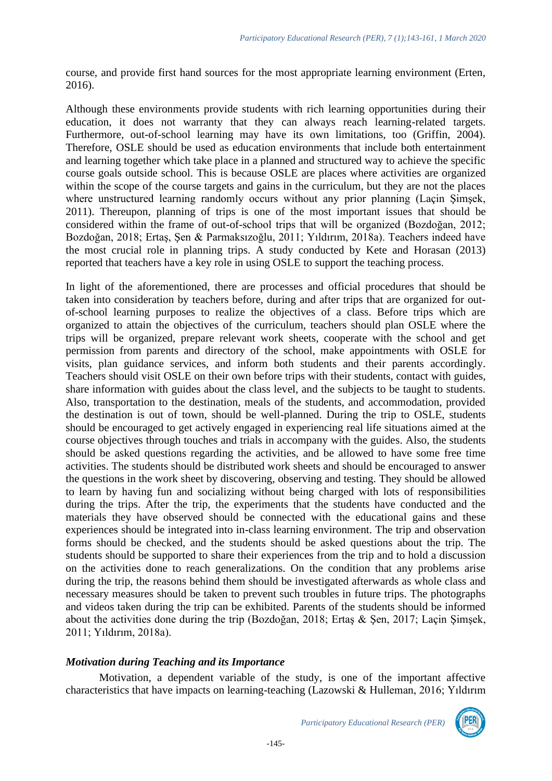course, and provide first hand sources for the most appropriate learning environment (Erten, 2016).

Although these environments provide students with rich learning opportunities during their education, it does not warranty that they can always reach learning-related targets. Furthermore, out-of-school learning may have its own limitations, too (Griffin, 2004). Therefore, OSLE should be used as education environments that include both entertainment and learning together which take place in a planned and structured way to achieve the specific course goals outside school. This is because OSLE are places where activities are organized within the scope of the course targets and gains in the curriculum, but they are not the places where unstructured learning randomly occurs without any prior planning (Laçin Şimşek, 2011). Thereupon, planning of trips is one of the most important issues that should be considered within the frame of out-of-school trips that will be organized (Bozdoğan, 2012; Bozdoğan, 2018; Ertaş, Şen & Parmaksızoğlu, 2011; Yıldırım, 2018a). Teachers indeed have the most crucial role in planning trips. A study conducted by Kete and Horasan (2013) reported that teachers have a key role in using OSLE to support the teaching process.

In light of the aforementioned, there are processes and official procedures that should be taken into consideration by teachers before, during and after trips that are organized for outof-school learning purposes to realize the objectives of a class. Before trips which are organized to attain the objectives of the curriculum, teachers should plan OSLE where the trips will be organized, prepare relevant work sheets, cooperate with the school and get permission from parents and directory of the school, make appointments with OSLE for visits, plan guidance services, and inform both students and their parents accordingly. Teachers should visit OSLE on their own before trips with their students, contact with guides, share information with guides about the class level, and the subjects to be taught to students. Also, transportation to the destination, meals of the students, and accommodation, provided the destination is out of town, should be well-planned. During the trip to OSLE, students should be encouraged to get actively engaged in experiencing real life situations aimed at the course objectives through touches and trials in accompany with the guides. Also, the students should be asked questions regarding the activities, and be allowed to have some free time activities. The students should be distributed work sheets and should be encouraged to answer the questions in the work sheet by discovering, observing and testing. They should be allowed to learn by having fun and socializing without being charged with lots of responsibilities during the trips. After the trip, the experiments that the students have conducted and the materials they have observed should be connected with the educational gains and these experiences should be integrated into in-class learning environment. The trip and observation forms should be checked, and the students should be asked questions about the trip. The students should be supported to share their experiences from the trip and to hold a discussion on the activities done to reach generalizations. On the condition that any problems arise during the trip, the reasons behind them should be investigated afterwards as whole class and necessary measures should be taken to prevent such troubles in future trips. The photographs and videos taken during the trip can be exhibited. Parents of the students should be informed about the activities done during the trip (Bozdoğan, 2018; Ertaş & Şen, 2017; Laçin Şimşek, 2011; Yıldırım, 2018a).

#### *Motivation during Teaching and its Importance*

Motivation, a dependent variable of the study, is one of the important affective characteristics that have impacts on learning-teaching (Lazowski & Hulleman, 2016; Yıldırım

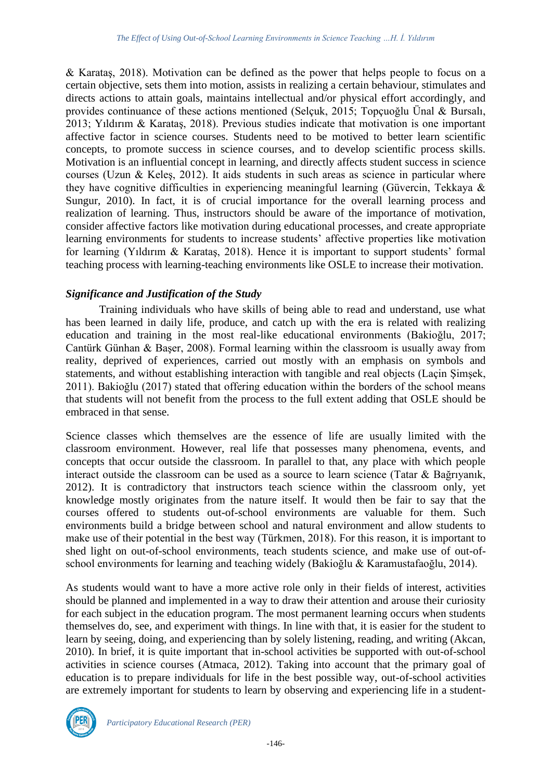& Karataş, 2018). Motivation can be defined as the power that helps people to focus on a certain objective, sets them into motion, assists in realizing a certain behaviour, stimulates and directs actions to attain goals, maintains intellectual and/or physical effort accordingly, and provides continuance of these actions mentioned (Selçuk, 2015; Topçuoğlu Ünal & Bursalı, 2013; Yıldırım & Karataş, 2018). Previous studies indicate that motivation is one important affective factor in science courses. Students need to be motived to better learn scientific concepts, to promote success in science courses, and to develop scientific process skills. Motivation is an influential concept in learning, and directly affects student success in science courses (Uzun & Keleş, 2012). It aids students in such areas as science in particular where they have cognitive difficulties in experiencing meaningful learning (Güvercin, Tekkaya & Sungur, 2010). In fact, it is of crucial importance for the overall learning process and realization of learning. Thus, instructors should be aware of the importance of motivation, consider affective factors like motivation during educational processes, and create appropriate learning environments for students to increase students' affective properties like motivation for learning (Yıldırım & Karataş, 2018). Hence it is important to support students' formal teaching process with learning-teaching environments like OSLE to increase their motivation.

## *Significance and Justification of the Study*

Training individuals who have skills of being able to read and understand, use what has been learned in daily life, produce, and catch up with the era is related with realizing education and training in the most real-like educational environments (Bakioğlu, 2017; Cantürk Günhan & Başer, 2008). Formal learning within the classroom is usually away from reality, deprived of experiences, carried out mostly with an emphasis on symbols and statements, and without establishing interaction with tangible and real objects (Laçin Şimşek, 2011). Bakioğlu (2017) stated that offering education within the borders of the school means that students will not benefit from the process to the full extent adding that OSLE should be embraced in that sense.

Science classes which themselves are the essence of life are usually limited with the classroom environment. However, real life that possesses many phenomena, events, and concepts that occur outside the classroom. In parallel to that, any place with which people interact outside the classroom can be used as a source to learn science (Tatar & Bağrıyanık, 2012). It is contradictory that instructors teach science within the classroom only, yet knowledge mostly originates from the nature itself. It would then be fair to say that the courses offered to students out-of-school environments are valuable for them. Such environments build a bridge between school and natural environment and allow students to make use of their potential in the best way (Türkmen, 2018). For this reason, it is important to shed light on out-of-school environments, teach students science, and make use of out-ofschool environments for learning and teaching widely (Bakioğlu & Karamustafaoğlu, 2014).

As students would want to have a more active role only in their fields of interest, activities should be planned and implemented in a way to draw their attention and arouse their curiosity for each subject in the education program. The most permanent learning occurs when students themselves do, see, and experiment with things. In line with that, it is easier for the student to learn by seeing, doing, and experiencing than by solely listening, reading, and writing (Akcan, 2010). In brief, it is quite important that in-school activities be supported with out-of-school activities in science courses (Atmaca, 2012). Taking into account that the primary goal of education is to prepare individuals for life in the best possible way, out-of-school activities are extremely important for students to learn by observing and experiencing life in a student-

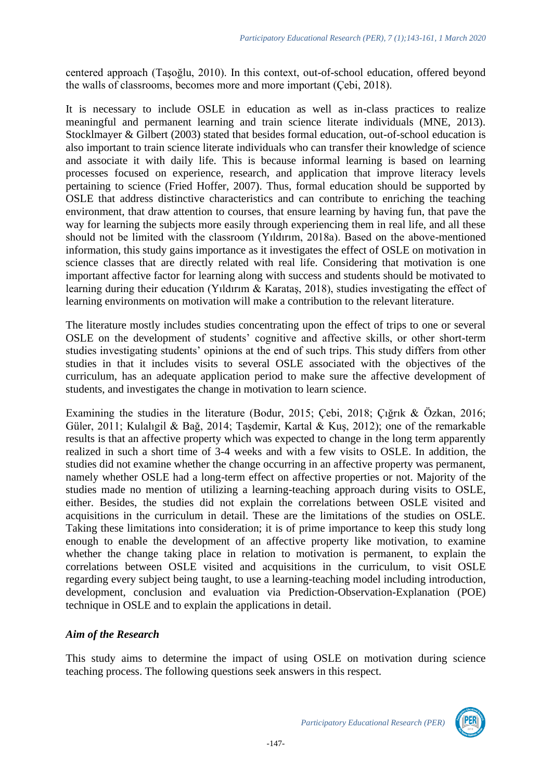centered approach (Taşoğlu, 2010). In this context, out-of-school education, offered beyond the walls of classrooms, becomes more and more important (Çebi, 2018).

It is necessary to include OSLE in education as well as in-class practices to realize meaningful and permanent learning and train science literate individuals (MNE, 2013). Stocklmayer & Gilbert (2003) stated that besides formal education, out-of-school education is also important to train science literate individuals who can transfer their knowledge of science and associate it with daily life. This is because informal learning is based on learning processes focused on experience, research, and application that improve literacy levels pertaining to science (Fried Hoffer, 2007). Thus, formal education should be supported by OSLE that address distinctive characteristics and can contribute to enriching the teaching environment, that draw attention to courses, that ensure learning by having fun, that pave the way for learning the subjects more easily through experiencing them in real life, and all these should not be limited with the classroom (Yıldırım, 2018a). Based on the above-mentioned information, this study gains importance as it investigates the effect of OSLE on motivation in science classes that are directly related with real life. Considering that motivation is one important affective factor for learning along with success and students should be motivated to learning during their education (Yıldırım & Karataş, 2018), studies investigating the effect of learning environments on motivation will make a contribution to the relevant literature.

The literature mostly includes studies concentrating upon the effect of trips to one or several OSLE on the development of students' cognitive and affective skills, or other short-term studies investigating students' opinions at the end of such trips. This study differs from other studies in that it includes visits to several OSLE associated with the objectives of the curriculum, has an adequate application period to make sure the affective development of students, and investigates the change in motivation to learn science.

Examining the studies in the literature (Bodur, 2015; Çebi, 2018; Çığrık & Özkan, 2016; Güler, 2011; Kulalıgil & Bağ, 2014; Taşdemir, Kartal & Kuş, 2012); one of the remarkable results is that an affective property which was expected to change in the long term apparently realized in such a short time of 3-4 weeks and with a few visits to OSLE. In addition, the studies did not examine whether the change occurring in an affective property was permanent, namely whether OSLE had a long-term effect on affective properties or not. Majority of the studies made no mention of utilizing a learning-teaching approach during visits to OSLE, either. Besides, the studies did not explain the correlations between OSLE visited and acquisitions in the curriculum in detail. These are the limitations of the studies on OSLE. Taking these limitations into consideration; it is of prime importance to keep this study long enough to enable the development of an affective property like motivation, to examine whether the change taking place in relation to motivation is permanent, to explain the correlations between OSLE visited and acquisitions in the curriculum, to visit OSLE regarding every subject being taught, to use a learning-teaching model including introduction, development, conclusion and evaluation via Prediction-Observation-Explanation (POE) technique in OSLE and to explain the applications in detail.

## *Aim of the Research*

This study aims to determine the impact of using OSLE on motivation during science teaching process. The following questions seek answers in this respect.

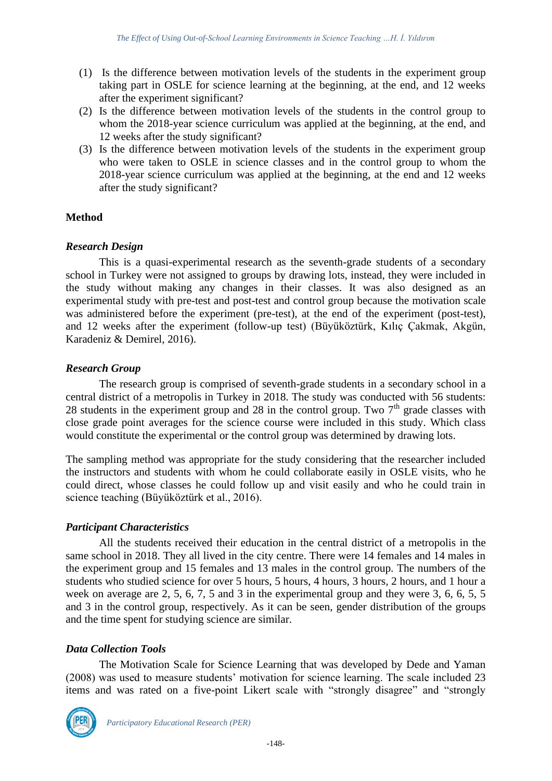- (1) Is the difference between motivation levels of the students in the experiment group taking part in OSLE for science learning at the beginning, at the end, and 12 weeks after the experiment significant?
- (2) Is the difference between motivation levels of the students in the control group to whom the 2018-year science curriculum was applied at the beginning, at the end, and 12 weeks after the study significant?
- (3) Is the difference between motivation levels of the students in the experiment group who were taken to OSLE in science classes and in the control group to whom the 2018-year science curriculum was applied at the beginning, at the end and 12 weeks after the study significant?

## **Method**

## *Research Design*

This is a quasi-experimental research as the seventh-grade students of a secondary school in Turkey were not assigned to groups by drawing lots, instead, they were included in the study without making any changes in their classes. It was also designed as an experimental study with pre-test and post-test and control group because the motivation scale was administered before the experiment (pre-test), at the end of the experiment (post-test), and 12 weeks after the experiment (follow-up test) (Büyüköztürk, Kılıç Çakmak, Akgün, Karadeniz & Demirel, 2016).

## *Research Group*

The research group is comprised of seventh-grade students in a secondary school in a central district of a metropolis in Turkey in 2018. The study was conducted with 56 students: 28 students in the experiment group and 28 in the control group. Two  $7<sup>th</sup>$  grade classes with close grade point averages for the science course were included in this study. Which class would constitute the experimental or the control group was determined by drawing lots.

The sampling method was appropriate for the study considering that the researcher included the instructors and students with whom he could collaborate easily in OSLE visits, who he could direct, whose classes he could follow up and visit easily and who he could train in science teaching (Büyüköztürk et al., 2016).

## *Participant Characteristics*

All the students received their education in the central district of a metropolis in the same school in 2018. They all lived in the city centre. There were 14 females and 14 males in the experiment group and 15 females and 13 males in the control group. The numbers of the students who studied science for over 5 hours, 5 hours, 4 hours, 3 hours, 2 hours, and 1 hour a week on average are 2, 5, 6, 7, 5 and 3 in the experimental group and they were 3, 6, 6, 5, 5 and 3 in the control group, respectively. As it can be seen, gender distribution of the groups and the time spent for studying science are similar.

## *Data Collection Tools*

The Motivation Scale for Science Learning that was developed by Dede and Yaman (2008) was used to measure students' motivation for science learning. The scale included 23 items and was rated on a five-point Likert scale with "strongly disagree" and "strongly

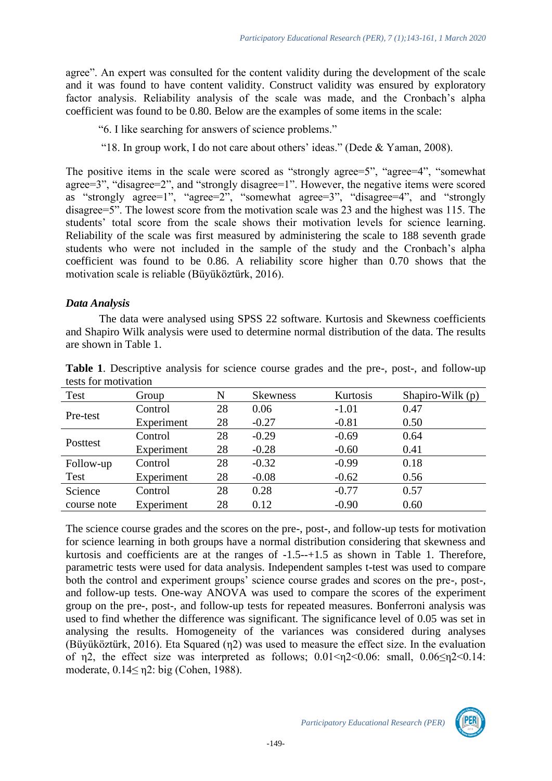agree". An expert was consulted for the content validity during the development of the scale and it was found to have content validity. Construct validity was ensured by exploratory factor analysis. Reliability analysis of the scale was made, and the Cronbach's alpha coefficient was found to be 0.80. Below are the examples of some items in the scale:

"6. I like searching for answers of science problems."

"18. In group work, I do not care about others' ideas." (Dede & Yaman, 2008).

The positive items in the scale were scored as "strongly agree=5", "agree=4", "somewhat agree=3", "disagree=2", and "strongly disagree=1". However, the negative items were scored as "strongly agree=1", "agree=2", "somewhat agree=3", "disagree=4", and "strongly disagree=5". The lowest score from the motivation scale was 23 and the highest was 115. The students' total score from the scale shows their motivation levels for science learning. Reliability of the scale was first measured by administering the scale to 188 seventh grade students who were not included in the sample of the study and the Cronbach's alpha coefficient was found to be 0.86. A reliability score higher than 0.70 shows that the motivation scale is reliable (Büyüköztürk, 2016).

# *Data Analysis*

The data were analysed using SPSS 22 software. Kurtosis and Skewness coefficients and Shapiro Wilk analysis were used to determine normal distribution of the data. The results are shown in Table 1.

| Table 1. Descriptive analysis for science course grades and the pre-, post-, and follow-up |  |  |  |  |  |  |
|--------------------------------------------------------------------------------------------|--|--|--|--|--|--|
| tests for motivation                                                                       |  |  |  |  |  |  |

| Test        | Group      | N  | <b>Skewness</b> | Kurtosis | Shapiro-Wilk (p) |
|-------------|------------|----|-----------------|----------|------------------|
|             | Control    | 28 | 0.06            | $-1.01$  | 0.47             |
| Pre-test    | Experiment | 28 | $-0.27$         | $-0.81$  | 0.50             |
|             | Control    | 28 | $-0.29$         | $-0.69$  | 0.64             |
| Posttest    | Experiment | 28 | $-0.28$         | $-0.60$  | 0.41             |
| Follow-up   | Control    | 28 | $-0.32$         | $-0.99$  | 0.18             |
| Test        | Experiment | 28 | $-0.08$         | $-0.62$  | 0.56             |
| Science     | Control    | 28 | 0.28            | $-0.77$  | 0.57             |
| course note | Experiment | 28 | 0.12            | $-0.90$  | 0.60             |

The science course grades and the scores on the pre-, post-, and follow-up tests for motivation for science learning in both groups have a normal distribution considering that skewness and kurtosis and coefficients are at the ranges of -1.5--+1.5 as shown in Table 1. Therefore, parametric tests were used for data analysis. Independent samples t-test was used to compare both the control and experiment groups' science course grades and scores on the pre-, post-, and follow-up tests. One-way ANOVA was used to compare the scores of the experiment group on the pre-, post-, and follow-up tests for repeated measures. Bonferroni analysis was used to find whether the difference was significant. The significance level of 0.05 was set in analysing the results. Homogeneity of the variances was considered during analyses (Büyüköztürk, 2016). Eta Squared (η2) was used to measure the effect size. In the evaluation of  $\eta$ 2, the effect size was interpreted as follows; 0.01< $\eta$ 2<0.06: small, 0.06 $\leq \eta$ 2<0.14: moderate, 0.14≤ η2: big (Cohen, 1988).

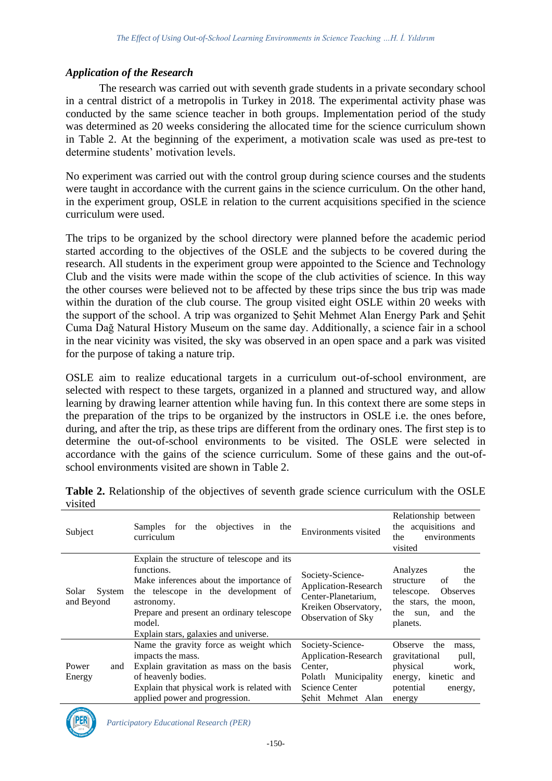#### *Application of the Research*

The research was carried out with seventh grade students in a private secondary school in a central district of a metropolis in Turkey in 2018. The experimental activity phase was conducted by the same science teacher in both groups. Implementation period of the study was determined as 20 weeks considering the allocated time for the science curriculum shown in Table 2. At the beginning of the experiment, a motivation scale was used as pre-test to determine students' motivation levels.

No experiment was carried out with the control group during science courses and the students were taught in accordance with the current gains in the science curriculum. On the other hand, in the experiment group, OSLE in relation to the current acquisitions specified in the science curriculum were used.

The trips to be organized by the school directory were planned before the academic period started according to the objectives of the OSLE and the subjects to be covered during the research. All students in the experiment group were appointed to the Science and Technology Club and the visits were made within the scope of the club activities of science. In this way the other courses were believed not to be affected by these trips since the bus trip was made within the duration of the club course. The group visited eight OSLE within 20 weeks with the support of the school. A trip was organized to Şehit Mehmet Alan Energy Park and Şehit Cuma Dağ Natural History Museum on the same day. Additionally, a science fair in a school in the near vicinity was visited, the sky was observed in an open space and a park was visited for the purpose of taking a nature trip.

OSLE aim to realize educational targets in a curriculum out-of-school environment, are selected with respect to these targets, organized in a planned and structured way, and allow learning by drawing learner attention while having fun. In this context there are some steps in the preparation of the trips to be organized by the instructors in OSLE i.e. the ones before, during, and after the trip, as these trips are different from the ordinary ones. The first step is to determine the out-of-school environments to be visited. The OSLE were selected in accordance with the gains of the science curriculum. Some of these gains and the out-ofschool environments visited are shown in Table 2.

| Subject                       | objectives<br>Samples for<br>the<br>the<br>in<br>curriculum                                                                                                                                                                                              | Environments visited                                                                                              | Relationship between<br>the acquisitions and<br>the<br>environments<br>visited                                                           |
|-------------------------------|----------------------------------------------------------------------------------------------------------------------------------------------------------------------------------------------------------------------------------------------------------|-------------------------------------------------------------------------------------------------------------------|------------------------------------------------------------------------------------------------------------------------------------------|
| Solar<br>System<br>and Beyond | Explain the structure of telescope and its<br>functions.<br>Make inferences about the importance of<br>the telescope in the development of<br>astronomy.<br>Prepare and present an ordinary telescope<br>model.<br>Explain stars, galaxies and universe. | Society-Science-<br>Application-Research<br>Center-Planetarium,<br>Kreiken Observatory,<br>Observation of Sky     | Analyzes<br>the<br>of<br>structure<br>the<br>telescope.<br><b>Observes</b><br>the stars, the moon,<br>the<br>and the<br>sun,<br>planets. |
| Power<br>and<br>Energy        | Name the gravity force as weight which<br>impacts the mass.<br>Explain gravitation as mass on the basis<br>of heavenly bodies.<br>Explain that physical work is related with<br>applied power and progression.                                           | Society-Science-<br>Application-Research<br>Center,<br>Polath Municipality<br>Science Center<br>Sehit Mehmet Alan | Observe<br>the<br>mass.<br>gravitational<br>pull,<br>physical<br>work,<br>energy, kinetic<br>and<br>potential<br>energy,<br>energy       |

**Table 2.** Relationship of the objectives of seventh grade science curriculum with the OSLE visited

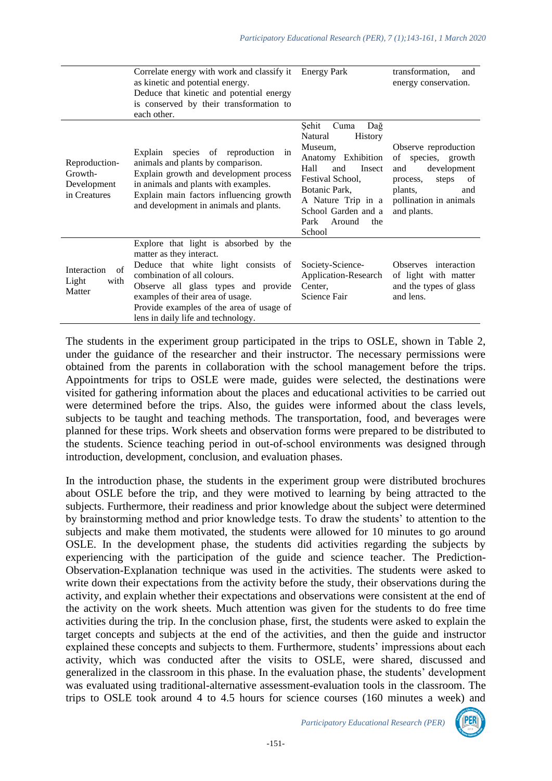|                                                         | Correlate energy with work and classify it Energy Park<br>as kinetic and potential energy.<br>Deduce that kinetic and potential energy<br>is conserved by their transformation to<br>each other.                                                                                                     |                                                                                                                                                                                                                                                  | transformation,<br>and<br>energy conservation.                                                                               |
|---------------------------------------------------------|------------------------------------------------------------------------------------------------------------------------------------------------------------------------------------------------------------------------------------------------------------------------------------------------------|--------------------------------------------------------------------------------------------------------------------------------------------------------------------------------------------------------------------------------------------------|------------------------------------------------------------------------------------------------------------------------------|
| Reproduction-<br>Growth-<br>Development<br>in Creatures | Explain species of reproduction<br>in<br>animals and plants by comparison.<br>Explain growth and development process<br>in animals and plants with examples.<br>Explain main factors influencing growth<br>and development in animals and plants.                                                    | Sehit<br>Cuma<br>Dağ<br>Natural<br>History<br>Museum,<br>Anatomy Exhibition<br>Hall<br>Insect<br>and<br>Festival School,<br>Botanic Park,<br>A Nature Trip in a pollination in animals<br>School Garden and a<br>Park<br>Around<br>the<br>School | Observe reproduction<br>of species, growth<br>development<br>and<br>steps<br>process,<br>of<br>plants,<br>and<br>and plants. |
| Interaction<br>of<br>Light<br>with<br>Matter            | Explore that light is absorbed by the<br>matter as they interact.<br>Deduce that white light consists of<br>combination of all colours.<br>Observe all glass types and provide<br>examples of their area of usage.<br>Provide examples of the area of usage of<br>lens in daily life and technology. | Society-Science-<br>Application-Research<br>Center,<br>Science Fair                                                                                                                                                                              | Observes interaction<br>of light with matter<br>and the types of glass<br>and lens.                                          |

The students in the experiment group participated in the trips to OSLE, shown in Table 2, under the guidance of the researcher and their instructor. The necessary permissions were obtained from the parents in collaboration with the school management before the trips. Appointments for trips to OSLE were made, guides were selected, the destinations were visited for gathering information about the places and educational activities to be carried out were determined before the trips. Also, the guides were informed about the class levels, subjects to be taught and teaching methods. The transportation, food, and beverages were planned for these trips. Work sheets and observation forms were prepared to be distributed to the students. Science teaching period in out-of-school environments was designed through introduction, development, conclusion, and evaluation phases.

In the introduction phase, the students in the experiment group were distributed brochures about OSLE before the trip, and they were motived to learning by being attracted to the subjects. Furthermore, their readiness and prior knowledge about the subject were determined by brainstorming method and prior knowledge tests. To draw the students' to attention to the subjects and make them motivated, the students were allowed for 10 minutes to go around OSLE. In the development phase, the students did activities regarding the subjects by experiencing with the participation of the guide and science teacher. The Prediction-Observation-Explanation technique was used in the activities. The students were asked to write down their expectations from the activity before the study, their observations during the activity, and explain whether their expectations and observations were consistent at the end of the activity on the work sheets. Much attention was given for the students to do free time activities during the trip. In the conclusion phase, first, the students were asked to explain the target concepts and subjects at the end of the activities, and then the guide and instructor explained these concepts and subjects to them. Furthermore, students' impressions about each activity, which was conducted after the visits to OSLE, were shared, discussed and generalized in the classroom in this phase. In the evaluation phase, the students' development was evaluated using traditional-alternative assessment-evaluation tools in the classroom. The trips to OSLE took around 4 to 4.5 hours for science courses (160 minutes a week) and

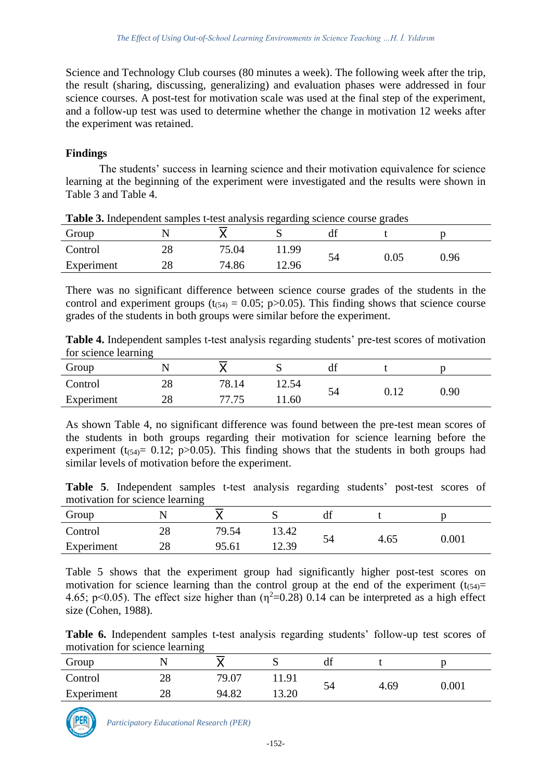Science and Technology Club courses (80 minutes a week). The following week after the trip, the result (sharing, discussing, generalizing) and evaluation phases were addressed in four science courses. A post-test for motivation scale was used at the final step of the experiment, and a follow-up test was used to determine whether the change in motivation 12 weeks after the experiment was retained.

## **Findings**

The students' success in learning science and their motivation equivalence for science learning at the beginning of the experiment were investigated and the results were shown in Table 3 and Table 4.

| Group      |          |       | ັ     |    |          |      |  |
|------------|----------|-------|-------|----|----------|------|--|
| Control    | 28       | 75.04 | 11.99 |    | $0.05\,$ | 0.96 |  |
| Experiment | າດ<br>∠o | 74.86 | 12.96 | 94 |          |      |  |

**Table 3.** Independent samples t-test analysis regarding science course grades

There was no significant difference between science course grades of the students in the control and experiment groups ( $t_{(54)} = 0.05$ ; p $> 0.05$ ). This finding shows that science course grades of the students in both groups were similar before the experiment.

**Table 4.** Independent samples t-test analysis regarding students' pre-test scores of motivation for science learning

| Group      |    |       |       | dì |      |  |
|------------|----|-------|-------|----|------|--|
| Control    | 28 | 78.14 | 12.54 |    |      |  |
| Experiment | 28 | 77.75 | 1.60  | Э4 | 0.90 |  |

As shown Table 4, no significant difference was found between the pre-test mean scores of the students in both groups regarding their motivation for science learning before the experiment ( $t_{(54)}$ = 0.12; p>0.05). This finding shows that the students in both groups had similar levels of motivation before the experiment.

**Table 5**. Independent samples t-test analysis regarding students' post-test scores of motivation for science learning

| Group      |    |       |       | đÌ |      |       |
|------------|----|-------|-------|----|------|-------|
| Control    | 28 | 79.54 | 13.42 | 54 | 4.65 | 0.001 |
| Experiment | 28 | 95.61 | 12.39 |    |      |       |

Table 5 shows that the experiment group had significantly higher post-test scores on motivation for science learning than the control group at the end of the experiment  $(t_{(54)}=$ 4.65; p<0.05). The effect size higher than  $(\eta^2=0.28)$  0.14 can be interpreted as a high effect size (Cohen, 1988).

**Table 6.** Independent samples t-test analysis regarding students' follow-up test scores of motivation for science learning

| Group      |    |       | ີ     | df |      |       |
|------------|----|-------|-------|----|------|-------|
| Control    | 28 | 79.07 | 11.91 | 54 |      |       |
| Experiment | 28 | 94.82 | 13.20 |    | 4.69 | 0.001 |

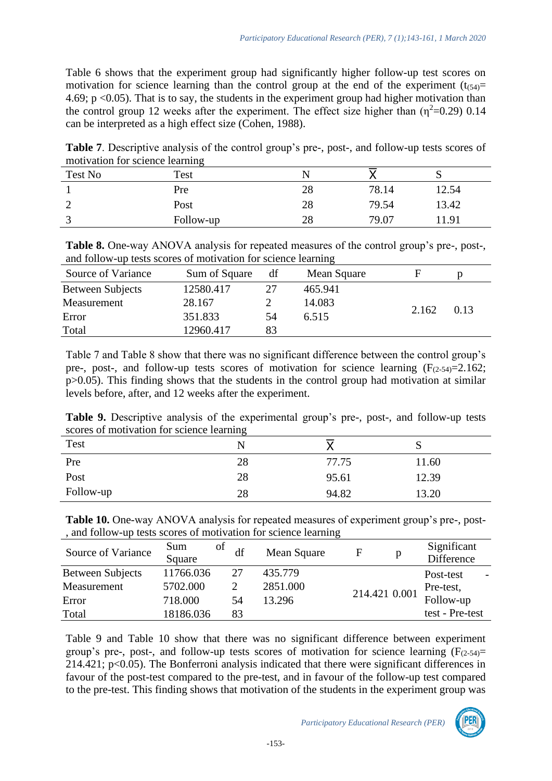Table 6 shows that the experiment group had significantly higher follow-up test scores on motivation for science learning than the control group at the end of the experiment  $(t_{(54)}=$ 4.69;  $p \le 0.05$ ). That is to say, the students in the experiment group had higher motivation than the control group 12 weeks after the experiment. The effect size higher than  $(\eta^2=0.29)$  0.14 can be interpreted as a high effect size (Cohen, 1988).

| monvation for science rearning |           |    |       |       |  |  |  |
|--------------------------------|-----------|----|-------|-------|--|--|--|
| <b>Test No</b>                 | Test      |    |       |       |  |  |  |
|                                | Pre       | 28 | 78.14 | 12.54 |  |  |  |
| ∽                              | Post      | 28 | 79.54 | 13.42 |  |  |  |
|                                | Follow-up | 28 | 79.07 | .1.91 |  |  |  |

**Table 7**. Descriptive analysis of the control group's pre-, post-, and follow-up tests scores of motivation for science learning

| <b>Table 8.</b> One-way ANOVA analysis for repeated measures of the control group's pre-, post-, |
|--------------------------------------------------------------------------------------------------|
| and follow-up tests scores of motivation for science learning                                    |

| Source of Variance      | Sum of Square | df | Mean Square |       |      |
|-------------------------|---------------|----|-------------|-------|------|
| <b>Between Subjects</b> | 12580.417     | 27 | 465.941     |       |      |
| Measurement             | 28.167        |    | 14.083      | 2.162 | 0.13 |
| Error                   | 351.833       | 54 | 6.515       |       |      |
| Total                   | 12960.417     | 83 |             |       |      |

Table 7 and Table 8 show that there was no significant difference between the control group's pre-, post-, and follow-up tests scores of motivation for science learning  $(F_{(2-54)}=2.162;$ p>0.05). This finding shows that the students in the control group had motivation at similar levels before, after, and 12 weeks after the experiment.

**Table 9.** Descriptive analysis of the experimental group's pre-, post-, and follow-up tests scores of motivation for science learning

| Test      |    |       | ມ     |
|-----------|----|-------|-------|
| Pre       | 28 | 77.75 | 11.60 |
| Post      | 28 | 95.61 | 12.39 |
| Follow-up | 28 | 94.82 | 13.20 |

| Table 10. One-way ANOVA analysis for repeated measures of experiment group's pre-, post- |  |
|------------------------------------------------------------------------------------------|--|
| , and follow-up tests scores of motivation for science learning                          |  |

| Source of Variance      | Sum<br>Square | of<br>df | Mean Square | F             | Significant<br>Difference |
|-------------------------|---------------|----------|-------------|---------------|---------------------------|
| <b>Between Subjects</b> | 11766.036     | 27       | 435.779     |               | Post-test                 |
| Measurement             | 5702.000      |          | 2851.000    | 214.421 0.001 |                           |
| Error                   | 718.000       | 54       | 13.296      |               | Pre-test,<br>Follow-up    |
| Total                   | 18186.036     | 83       |             |               | test - Pre-test           |

Table 9 and Table 10 show that there was no significant difference between experiment group's pre-, post-, and follow-up tests scores of motivation for science learning  $(F_{(2-54)}=$ 214.421; p<0.05). The Bonferroni analysis indicated that there were significant differences in favour of the post-test compared to the pre-test, and in favour of the follow-up test compared to the pre-test. This finding shows that motivation of the students in the experiment group was

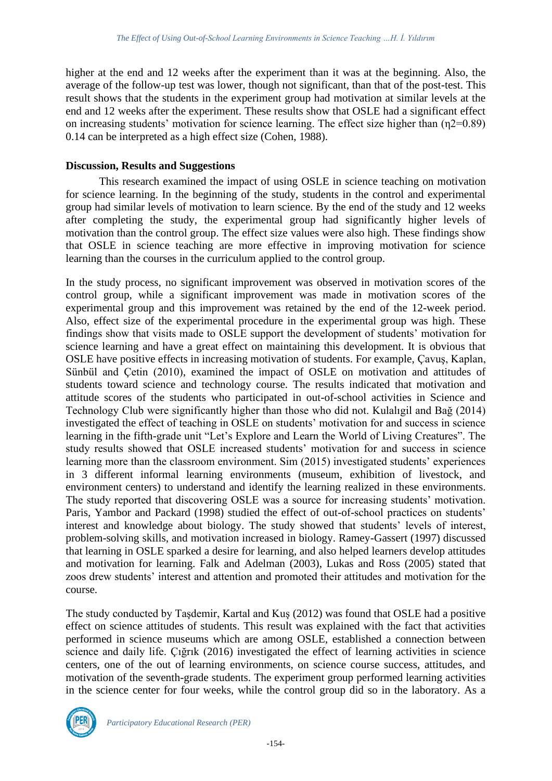higher at the end and 12 weeks after the experiment than it was at the beginning. Also, the average of the follow-up test was lower, though not significant, than that of the post-test. This result shows that the students in the experiment group had motivation at similar levels at the end and 12 weeks after the experiment. These results show that OSLE had a significant effect on increasing students' motivation for science learning. The effect size higher than (η2=0.89) 0.14 can be interpreted as a high effect size (Cohen, 1988).

#### **Discussion, Results and Suggestions**

This research examined the impact of using OSLE in science teaching on motivation for science learning. In the beginning of the study, students in the control and experimental group had similar levels of motivation to learn science. By the end of the study and 12 weeks after completing the study, the experimental group had significantly higher levels of motivation than the control group. The effect size values were also high. These findings show that OSLE in science teaching are more effective in improving motivation for science learning than the courses in the curriculum applied to the control group.

In the study process, no significant improvement was observed in motivation scores of the control group, while a significant improvement was made in motivation scores of the experimental group and this improvement was retained by the end of the 12-week period. Also, effect size of the experimental procedure in the experimental group was high. These findings show that visits made to OSLE support the development of students' motivation for science learning and have a great effect on maintaining this development. It is obvious that OSLE have positive effects in increasing motivation of students. For example, Çavuş, Kaplan, Sünbül and Çetin (2010), examined the impact of OSLE on motivation and attitudes of students toward science and technology course. The results indicated that motivation and attitude scores of the students who participated in out-of-school activities in Science and Technology Club were significantly higher than those who did not. Kulalıgil and Bağ (2014) investigated the effect of teaching in OSLE on students' motivation for and success in science learning in the fifth-grade unit "Let's Explore and Learn the World of Living Creatures". The study results showed that OSLE increased students' motivation for and success in science learning more than the classroom environment. Sim (2015) investigated students' experiences in 3 different informal learning environments (museum, exhibition of livestock, and environment centers) to understand and identify the learning realized in these environments. The study reported that discovering OSLE was a source for increasing students' motivation. Paris, Yambor and Packard (1998) studied the effect of out-of-school practices on students' interest and knowledge about biology. The study showed that students' levels of interest, problem-solving skills, and motivation increased in biology. Ramey-Gassert (1997) discussed that learning in OSLE sparked a desire for learning, and also helped learners develop attitudes and motivation for learning. Falk and Adelman (2003), Lukas and Ross (2005) stated that zoos drew students' interest and attention and promoted their attitudes and motivation for the course.

The study conducted by Taşdemir, Kartal and Kuş (2012) was found that OSLE had a positive effect on science attitudes of students. This result was explained with the fact that activities performed in science museums which are among OSLE, established a connection between science and daily life. Çığrık (2016) investigated the effect of learning activities in science centers, one of the out of learning environments, on science course success, attitudes, and motivation of the seventh-grade students. The experiment group performed learning activities in the science center for four weeks, while the control group did so in the laboratory. As a

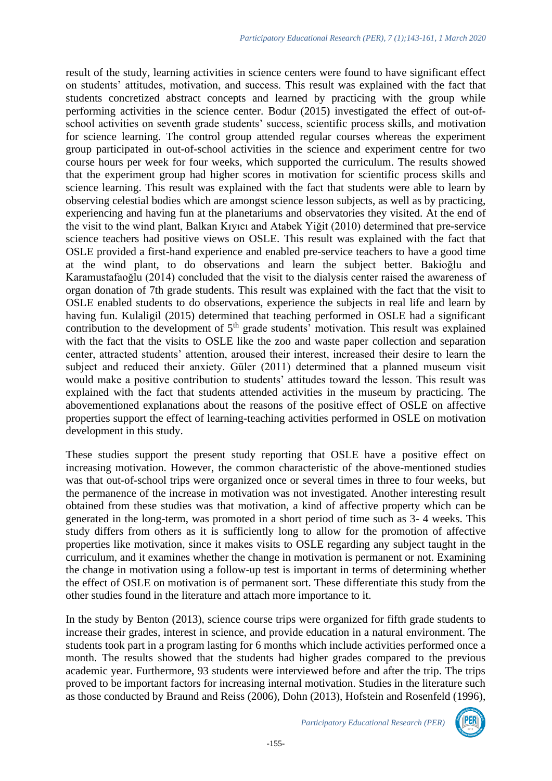result of the study, learning activities in science centers were found to have significant effect on students' attitudes, motivation, and success. This result was explained with the fact that students concretized abstract concepts and learned by practicing with the group while performing activities in the science center. Bodur (2015) investigated the effect of out-ofschool activities on seventh grade students' success, scientific process skills, and motivation for science learning. The control group attended regular courses whereas the experiment group participated in out-of-school activities in the science and experiment centre for two course hours per week for four weeks, which supported the curriculum. The results showed that the experiment group had higher scores in motivation for scientific process skills and science learning. This result was explained with the fact that students were able to learn by observing celestial bodies which are amongst science lesson subjects, as well as by practicing, experiencing and having fun at the planetariums and observatories they visited. At the end of the visit to the wind plant, Balkan Kıyıcı and Atabek Yiğit (2010) determined that pre-service science teachers had positive views on OSLE. This result was explained with the fact that OSLE provided a first-hand experience and enabled pre-service teachers to have a good time at the wind plant, to do observations and learn the subject better. Bakioğlu and Karamustafaoğlu (2014) concluded that the visit to the dialysis center raised the awareness of organ donation of 7th grade students. This result was explained with the fact that the visit to OSLE enabled students to do observations, experience the subjects in real life and learn by having fun. Kulaligil (2015) determined that teaching performed in OSLE had a significant contribution to the development of  $5<sup>th</sup>$  grade students' motivation. This result was explained with the fact that the visits to OSLE like the zoo and waste paper collection and separation center, attracted students' attention, aroused their interest, increased their desire to learn the subject and reduced their anxiety. Güler (2011) determined that a planned museum visit would make a positive contribution to students' attitudes toward the lesson. This result was explained with the fact that students attended activities in the museum by practicing. The abovementioned explanations about the reasons of the positive effect of OSLE on affective properties support the effect of learning-teaching activities performed in OSLE on motivation development in this study.

These studies support the present study reporting that OSLE have a positive effect on increasing motivation. However, the common characteristic of the above-mentioned studies was that out-of-school trips were organized once or several times in three to four weeks, but the permanence of the increase in motivation was not investigated. Another interesting result obtained from these studies was that motivation, a kind of affective property which can be generated in the long-term, was promoted in a short period of time such as 3- 4 weeks. This study differs from others as it is sufficiently long to allow for the promotion of affective properties like motivation, since it makes visits to OSLE regarding any subject taught in the curriculum, and it examines whether the change in motivation is permanent or not. Examining the change in motivation using a follow-up test is important in terms of determining whether the effect of OSLE on motivation is of permanent sort. These differentiate this study from the other studies found in the literature and attach more importance to it.

In the study by Benton (2013), science course trips were organized for fifth grade students to increase their grades, interest in science, and provide education in a natural environment. The students took part in a program lasting for 6 months which include activities performed once a month. The results showed that the students had higher grades compared to the previous academic year. Furthermore, 93 students were interviewed before and after the trip. The trips proved to be important factors for increasing internal motivation. Studies in the literature such as those conducted by Braund and Reiss (2006), Dohn (2013), Hofstein and Rosenfeld (1996),

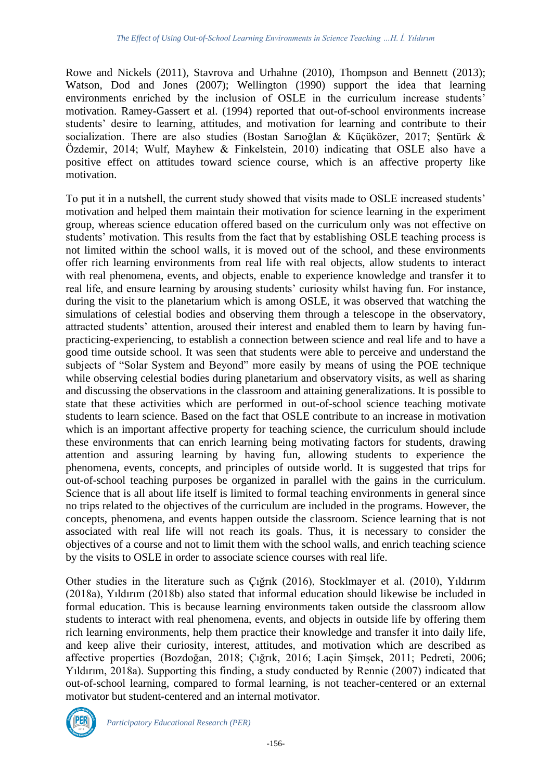Rowe and Nickels (2011), Stavrova and Urhahne (2010), Thompson and Bennett (2013); Watson, Dod and Jones (2007); Wellington (1990) support the idea that learning environments enriched by the inclusion of OSLE in the curriculum increase students' motivation. Ramey-Gassert et al. (1994) reported that out-of-school environments increase students' desire to learning, attitudes, and motivation for learning and contribute to their socialization. There are also studies (Bostan Sarıoğlan & Küçüközer, 2017; Şentürk & Özdemir, 2014; Wulf, Mayhew & Finkelstein, 2010) indicating that OSLE also have a positive effect on attitudes toward science course, which is an affective property like motivation.

To put it in a nutshell, the current study showed that visits made to OSLE increased students' motivation and helped them maintain their motivation for science learning in the experiment group, whereas science education offered based on the curriculum only was not effective on students' motivation. This results from the fact that by establishing OSLE teaching process is not limited within the school walls, it is moved out of the school, and these environments offer rich learning environments from real life with real objects, allow students to interact with real phenomena, events, and objects, enable to experience knowledge and transfer it to real life, and ensure learning by arousing students' curiosity whilst having fun. For instance, during the visit to the planetarium which is among OSLE, it was observed that watching the simulations of celestial bodies and observing them through a telescope in the observatory, attracted students' attention, aroused their interest and enabled them to learn by having funpracticing-experiencing, to establish a connection between science and real life and to have a good time outside school. It was seen that students were able to perceive and understand the subjects of "Solar System and Beyond" more easily by means of using the POE technique while observing celestial bodies during planetarium and observatory visits, as well as sharing and discussing the observations in the classroom and attaining generalizations. It is possible to state that these activities which are performed in out-of-school science teaching motivate students to learn science. Based on the fact that OSLE contribute to an increase in motivation which is an important affective property for teaching science, the curriculum should include these environments that can enrich learning being motivating factors for students, drawing attention and assuring learning by having fun, allowing students to experience the phenomena, events, concepts, and principles of outside world. It is suggested that trips for out-of-school teaching purposes be organized in parallel with the gains in the curriculum. Science that is all about life itself is limited to formal teaching environments in general since no trips related to the objectives of the curriculum are included in the programs. However, the concepts, phenomena, and events happen outside the classroom. Science learning that is not associated with real life will not reach its goals. Thus, it is necessary to consider the objectives of a course and not to limit them with the school walls, and enrich teaching science by the visits to OSLE in order to associate science courses with real life.

Other studies in the literature such as Çığrık (2016), Stocklmayer et al. (2010), Yıldırım (2018a), Yıldırım (2018b) also stated that informal education should likewise be included in formal education. This is because learning environments taken outside the classroom allow students to interact with real phenomena, events, and objects in outside life by offering them rich learning environments, help them practice their knowledge and transfer it into daily life, and keep alive their curiosity, interest, attitudes, and motivation which are described as affective properties (Bozdoğan, 2018; Çığrık, 2016; Laçin Şimşek, 2011; Pedreti, 2006; Yıldırım, 2018a). Supporting this finding, a study conducted by Rennie (2007) indicated that out-of-school learning, compared to formal learning, is not teacher-centered or an external motivator but student-centered and an internal motivator.

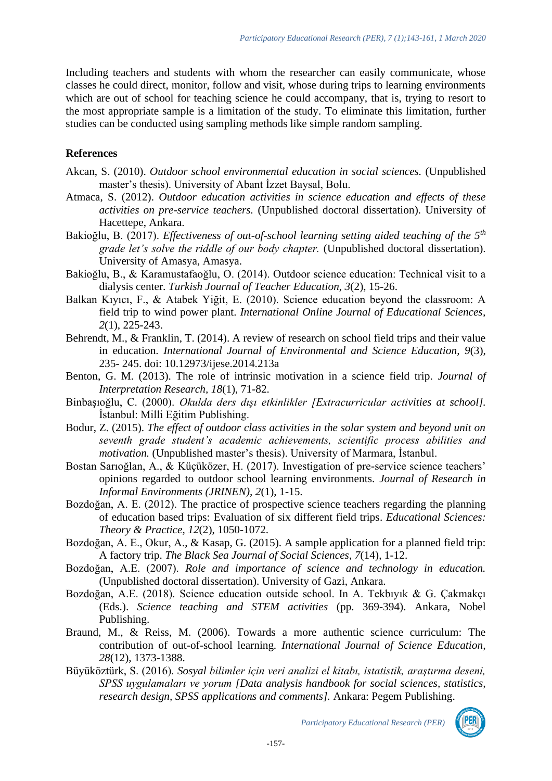Including teachers and students with whom the researcher can easily communicate, whose classes he could direct, monitor, follow and visit, whose during trips to learning environments which are out of school for teaching science he could accompany, that is, trying to resort to the most appropriate sample is a limitation of the study. To eliminate this limitation, further studies can be conducted using sampling methods like simple random sampling.

#### **References**

- Akcan, S. (2010). *Outdoor school environmental education in social sciences.* (Unpublished master's thesis). University of Abant İzzet Baysal, Bolu.
- Atmaca, S. (2012). *Outdoor education activities in science education and effects of these activities on pre-service teachers.* (Unpublished doctoral dissertation). University of Hacettepe, Ankara.
- Bakioğlu, B. (2017). *Effectiveness of out-of-school learning setting aided teaching of the 5th grade let's solve the riddle of our body chapter.* (Unpublished doctoral dissertation). University of Amasya, Amasya.
- Bakioğlu, B., & Karamustafaoğlu, O. (2014). Outdoor science education: Technical visit to a dialysis center. *Turkish Journal of Teacher Education, 3*(2), 15-26.
- Balkan Kıyıcı, F., & Atabek Yiğit, E. (2010). Science education beyond the classroom: A field trip to wind power plant. *International Online Journal of Educational Sciences, 2*(1), 225-243.
- Behrendt, M., & Franklin, T. (2014). A review of research on school field trips and their value in education. *International Journal of Environmental and Science Education, 9*(3), 235- 245. doi: 10.12973/ijese.2014.213a
- Benton, G. M. (2013). The role of intrinsic motivation in a science field trip. *Journal of Interpretation Research, 18*(1), 71-82.
- Binbaşıoğlu, C. (2000). *Okulda ders dışı etkinlikler [Extracurricular activities at school].* İstanbul: Milli Eğitim Publishing.
- Bodur, Z. (2015). *The effect of outdoor class activities in the solar system and beyond unit on seventh grade student's academic achievements, scientific process abilities and motivation.* (Unpublished master's thesis). University of Marmara, İstanbul.
- Bostan Sarıoğlan, A., & Küçüközer, H. (2017). Investigation of pre-service science teachers' opinions regarded to outdoor school learning environments. *Journal of Research in Informal Environments (JRINEN), 2*(1), 1-15.
- Bozdoğan, A. E. (2012). The practice of prospective science teachers regarding the planning of education based trips: Evaluation of six different field trips. *Educational Sciences: Theory & Practice, 12*(2), 1050-1072.
- Bozdoğan, A. E., Okur, A., & Kasap, G. (2015). A sample application for a planned field trip: A factory trip. *The Black Sea Journal of Social Sciences*, *7*(14), 1-12.
- Bozdoğan, A.E. (2007). *Role and importance of science and technology in education.*  (Unpublished doctoral dissertation). University of Gazi, Ankara.
- Bozdoğan, A.E. (2018). Science education outside school. In A. Tekbıyık & G. Çakmakçı (Eds.). *Science teaching and STEM activities* (pp. 369-394). Ankara, Nobel Publishing.
- Braund, M., & Reiss, M. (2006). Towards a more authentic science curriculum: The contribution of out-of-school learning*. International Journal of Science Education, 28*(12), 1373-1388.
- Büyüköztürk, S. (2016). *Sosyal bilimler için veri analizi el kitabı, istatistik, araştırma deseni, SPSS uygulamaları ve yorum [Data analysis handbook for social sciences, statistics, research design, SPSS applications and comments].* Ankara: Pegem Publishing.

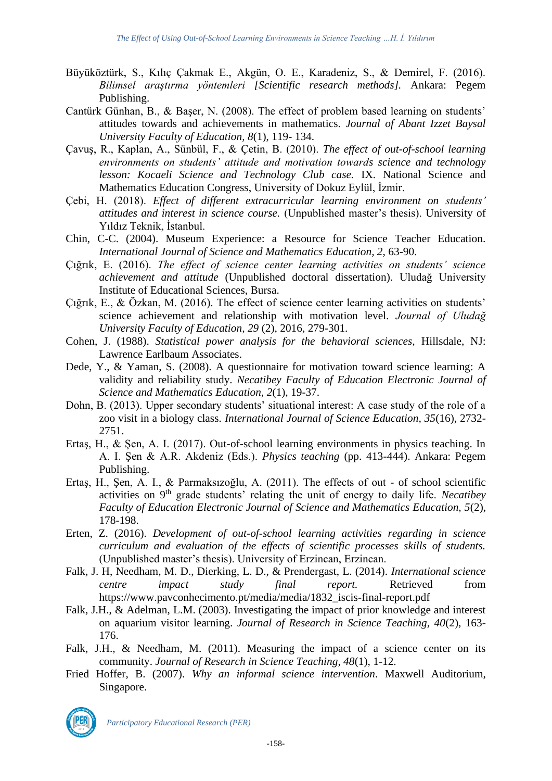- Büyüköztürk, S., Kılıç Çakmak E., Akgün, O. E., Karadeniz, S., & Demirel, F. (2016). *Bilimsel araştırma yöntemleri [Scientific research methods].* Ankara: Pegem Publishing.
- Cantürk Günhan, B., & Başer, N. (2008). The effect of problem based learning on students' attitudes towards and achievements in mathematics. *Journal of Abant Izzet Baysal University Faculty of Education, 8*(1), 119- 134.
- Çavuş, R., Kaplan, A., Sünbül, F., & Çetin, B. (2010). *The effect of out-of-school learning environments on students' attitude and motivation towards science and technology lesson: Kocaeli Science and Technology Club case.* IX. National Science and Mathematics Education Congress, University of Dokuz Eylül, İzmir.
- Çebi, H. (2018). *Effect of different extracurricular learning environment on students' attitudes and interest in science course.* (Unpublished master's thesis). University of Yıldız Teknik, İstanbul.
- Chin, C-C. (2004). Museum Experience: a Resource for Science Teacher Education. *International Journal of Science and Mathematics Education, 2*, 63-90.
- Çığrık, E. (2016). *The effect of science center learning activities on students' science achievement and attitude* (Unpublished doctoral dissertation). Uludağ University Institute of Educational Sciences, Bursa.
- Çığrık, E., & Özkan, M. (2016). The effect of science center learning activities on students' science achievement and relationship with motivation level. *Journal of Uludağ University Faculty of Education, 29* (2), 2016, 279-301.
- Cohen, J. (1988). *Statistical power analysis for the behavioral sciences,* Hillsdale, NJ: Lawrence Earlbaum Associates.
- Dede, Y., & Yaman, S. (2008). A questionnaire for motivation toward science learning: A validity and reliability study. *Necatibey Faculty of Education Electronic Journal of Science and Mathematics Education, 2*(1), 19-37.
- Dohn, B. (2013). Upper secondary students' situational interest: A case study of the role of a zoo visit in a biology class. *International Journal of Science Education, 35*(16), 2732- 2751.
- Ertaş, H., & Şen, A. I. (2017). Out-of-school learning environments in physics teaching. In A. I. Şen & A.R. Akdeniz (Eds.). *Physics teaching* (pp. 413-444). Ankara: Pegem Publishing.
- Ertaş, H., Şen, A. I., & Parmaksızoğlu, A. (2011). The effects of out of school scientific activities on 9th grade students' relating the unit of energy to daily life. *Necatibey Faculty of Education Electronic Journal of Science and Mathematics Education, 5*(2), 178-198.
- Erten, Z. (2016). *Development of out-of-school learning activities regarding in science curriculum and evaluation of the effects of scientific processes skills of students.* (Unpublished master's thesis). University of Erzincan, Erzincan.
- Falk, J. H, Needham, M. D., Dierking, L. D., & Prendergast, L. (2014). *International science centre impact study final report.* Retrieved from https://www.pavconhecimento.pt/media/media/1832\_iscis-final-report.pdf
- Falk, J.H., & Adelman, L.M. (2003). Investigating the impact of prior knowledge and interest on aquarium visitor learning. *Journal of Research in Science Teaching, 40*(2), 163- 176.
- Falk, J.H., & Needham, M. (2011). Measuring the impact of a science center on its community. *Journal of Research in Science Teaching, 48*(1), 1-12.
- Fried Hoffer, B. (2007). *Why an informal science intervention*. Maxwell Auditorium, Singapore.

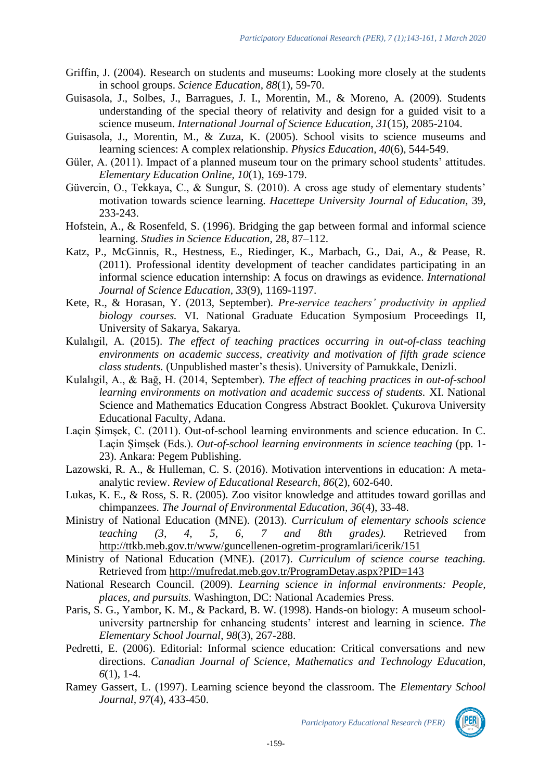- Griffin, J. (2004). Research on students and museums: Looking more closely at the students in school groups. *Science Education, 88*(1), 59-70.
- Guisasola, J., Solbes, J., Barragues, J. I., Morentin, M., & Moreno, A. (2009). Students understanding of the special theory of relativity and design for a guided visit to a science museum. *International Journal of Science Education, 31*(15), 2085-2104.
- Guisasola, J., Morentin, M., & Zuza, K. (2005). School visits to science museums and learning sciences: A complex relationship. *Physics Education, 40*(6), 544-549.
- Güler, A. (2011). Impact of a planned museum tour on the primary school students' attitudes. *Elementary Education Online, 10*(1), 169-179.
- Güvercin, O., Tekkaya, C., & Sungur, S. (2010). A cross age study of elementary students' motivation towards science learning. *Hacettepe University Journal of Education,* 39, 233-243.
- Hofstein, A., & Rosenfeld, S. (1996). Bridging the gap between formal and informal science learning. *Studies in Science Education,* 28, 87–112.
- Katz, P., McGinnis, R., Hestness, E., Riedinger, K., Marbach, G., Dai, A., & Pease, R. (2011). Professional identity development of teacher candidates participating in an informal science education internship: A focus on drawings as evidence. *International Journal of Science Education, 33*(9), 1169-1197.
- Kete, R., & Horasan, Y. (2013, September). *Pre-service teachers' productivity in applied biology courses.* VI. National Graduate Education Symposium Proceedings II, University of Sakarya, Sakarya.
- Kulalıgil, A. (2015). *The effect of teaching practices occurring in out-of-class teaching environments on academic success, creativity and motivation of fifth grade science class students.* (Unpublished master's thesis). University of Pamukkale, Denizli.
- Kulalıgil, A., & Bağ, H. (2014, September). *The effect of teaching practices in out-of-school learning environments on motivation and academic success of students.* XI. National Science and Mathematics Education Congress Abstract Booklet. Çukurova University Educational Faculty, Adana.
- Laçin Şimşek, C. (2011). Out-of-school learning environments and science education. In C. Laçin Şimşek (Eds.). *Out-of-school learning environments in science teaching* (pp. 1- 23). Ankara: Pegem Publishing.
- Lazowski, R. A., & Hulleman, C. S. (2016). Motivation interventions in education: A metaanalytic review. *Review of Educational Research, 86*(2), 602-640.
- Lukas, K. E., & Ross, S. R. (2005). Zoo visitor knowledge and attitudes toward gorillas and chimpanzees. *The Journal of Environmental Education, 36*(4), 33-48.
- Ministry of National Education (MNE). (2013). *Curriculum of elementary schools science teaching (3, 4, 5, 6, 7 and 8th grades).* Retrieved from <http://ttkb.meb.gov.tr/www/guncellenen-ogretim-programlari/icerik/151>
- Ministry of National Education (MNE). (2017). *Curriculum of science course teaching.*  Retrieved from<http://mufredat.meb.gov.tr/ProgramDetay.aspx?PID=143>
- National Research Council. (2009). *Learning science in informal environments: People, places, and pursuits.* Washington, DC: National Academies Press.
- Paris, S. G., Yambor, K. M., & Packard, B. W. (1998). Hands-on biology: A museum schooluniversity partnership for enhancing students' interest and learning in science. *The Elementary School Journal*, *98*(3), 267-288.
- Pedretti, E. (2006). Editorial: Informal science education: Critical conversations and new directions. *Canadian Journal of Science, Mathematics and Technology Education, 6*(1), 1-4.
- Ramey Gassert, L. (1997). Learning science beyond the classroom. The *Elementary School Journal, 97*(4), 433-450.

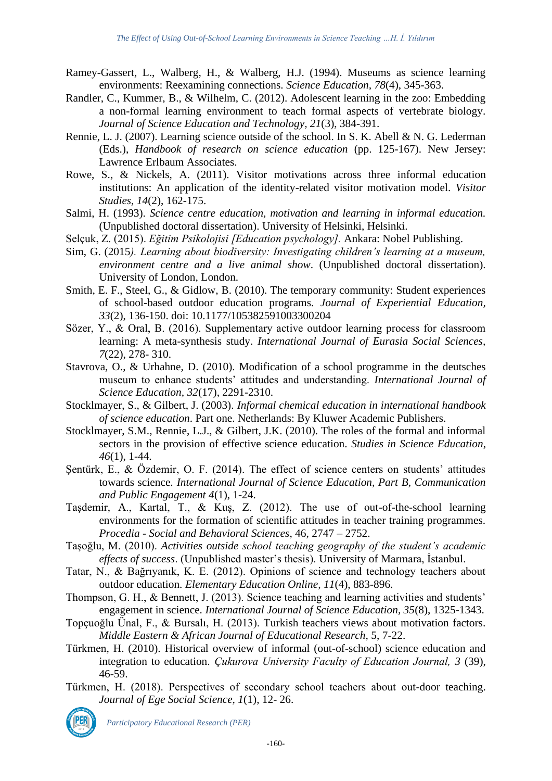- Ramey-Gassert, L., Walberg, H., & Walberg, H.J. (1994). Museums as science learning environments: Reexamining connections. *Science Education, 78*(4), 345-363.
- Randler, C., Kummer, B., & Wilhelm, C. (2012). Adolescent learning in the zoo: Embedding a non-formal learning environment to teach formal aspects of vertebrate biology. *Journal of Science Education and Technology, 21*(3), 384-391.
- Rennie, L. J. (2007). Learning science outside of the school. In S. K. Abell & N. G. Lederman (Eds.), *Handbook of research on science education* (pp. 125-167). New Jersey: Lawrence Erlbaum Associates.
- Rowe, S., & Nickels, A. (2011). Visitor motivations across three informal education institutions: An application of the identity-related visitor motivation model. *Visitor Studies, 14*(2), 162-175.
- Salmi, H. (1993). *Science centre education, motivation and learning in informal education.* (Unpublished doctoral dissertation). University of Helsinki, Helsinki.
- Selçuk, Z. (2015). *Eğitim Psikolojisi [Education psychology].* Ankara: Nobel Publishing.
- Sim, G. (2015*). Learning about biodiversity: Investigating children's learning at a museum, environment centre and a live animal show*. (Unpublished doctoral dissertation). University of London, London.
- Smith, E. F., Steel, G., & Gidlow, B. (2010). The temporary community: Student experiences of school-based outdoor education programs. *Journal of Experiential Education, 33*(2), 136-150. doi: 10.1177/105382591003300204
- Sözer, Y., & Oral, B. (2016). Supplementary active outdoor learning process for classroom learning: A meta-synthesis study. *International Journal of Eurasia Social Sciences, 7*(22), 278- 310.
- Stavrova, O., & Urhahne, D. (2010). Modification of a school programme in the deutsches museum to enhance students' attitudes and understanding. *International Journal of Science Education, 32*(17), 2291-2310.
- Stocklmayer, S., & Gilbert, J. (2003). *Informal chemical education in international handbook of science education*. Part one. Netherlands: By Kluwer Academic Publishers.
- Stocklmayer, S.M., Rennie, L.J., & Gilbert, J.K. (2010). The roles of the formal and informal sectors in the provision of effective science education. *Studies in Science Education*, *46*(1), 1-44.
- Şentürk, E., & Özdemir, O. F. (2014). The effect of science centers on students' attitudes towards science. *International Journal of Science Education, Part B, Communication and Public Engagement 4*(1), 1-24.
- Taşdemir, A., Kartal, T., & Kuş, Z. (2012). The use of out-of-the-school learning environments for the formation of scientific attitudes in teacher training programmes. *Procedia - Social and Behavioral Sciences*, 46, 2747 – 2752.
- Taşoğlu, M. (2010). *Activities outside school teaching geography of the student's academic effects of success*. (Unpublished master's thesis). University of Marmara, İstanbul.
- Tatar, N., & Bağrıyanık, K. E. (2012). Opinions of science and technology teachers about outdoor education. *Elementary Education Online, 11*(4), 883-896.
- Thompson, G. H., & Bennett, J. (2013). Science teaching and learning activities and students' engagement in science. *International Journal of Science Education, 35*(8), 1325-1343.
- Topçuoğlu Ünal, F., & Bursalı, H. (2013). Turkish teachers views about motivation factors. *Middle Eastern & African Journal of Educational Research,* 5, 7-22.
- Türkmen, H. (2010). Historical overview of informal (out-of-school) science education and integration to education. *Çukurova University Faculty of Education Journal, 3* (39), 46-59.
- Türkmen, H. (2018). Perspectives of secondary school teachers about out-door teaching. *Journal of Ege Social Science, 1*(1), 12- 26.